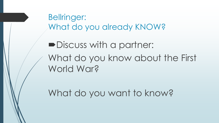Bellringer: What do you already KNOW?

Discuss with a partner: What do you know about the First World War?

What do you want to know?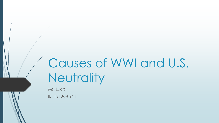# Causes of WWI and U.S. **Neutrality**

Ms. Luco IB HIST AM Yr 1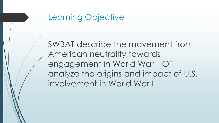## Learning Objective

SWBAT describe the movement from American neutrality towards engagement in World War I IOT analyze the origins and impact of U.S. involvement in World War I.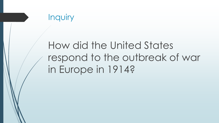

# How did the United States respond to the outbreak of war in Europe in 1914?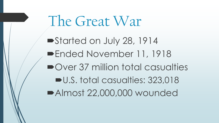The Great War

Started on July 28, 1914 Ended November 11, 1918 ■Over 37 million total casualties U.S. total casualties: 323,018 Almost 22,000,000 wounded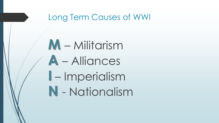## Long Term Causes of WWI

**M** – Militarism **A** – Alliances **I** – Imperialism **N** - Nationalism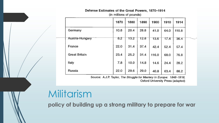### Defense Estimates of the Great Powers, 1870-1914

(in millions of pounds)

|                      | 1870 | 1880 | 1890 | 1900  | 1910 | 1914  |  |
|----------------------|------|------|------|-------|------|-------|--|
| Germany              | 10.8 | 20.4 | 28.8 | 41.0  | 64.0 | 110.8 |  |
| Austria-Hungary      | 8.2  | 13.2 | 12.8 | 13.6  | 17.4 | 36.4  |  |
| France               | 22.0 | 31.4 | 37.4 | 42.4  | 52.4 | 57.4  |  |
| <b>Great Britain</b> | 23.4 | 25.2 | 31.4 | 116.0 | 68.0 | 76.8  |  |
| Italy                | 7.8  | 10.0 | 14.8 | 14.6  | 24.4 | 28.2  |  |
| Russia               | 22.0 | 29.6 | 29.0 | 40.8  | 63.4 | 88.2  |  |

Source: A.J.P. Taylor, The Struggle for Mastery in Europe: 1848-1918, Oxford University Press (adapted)

## Militarism

**policy of building up a strong military to prepare for war**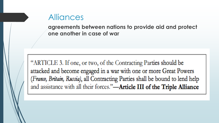## **Alliances**

**agreements between nations to provide aid and protect one another in case of war**

"ARTICLE 3. If one, or two, of the Contracting Parties should be attacked and become engaged in a war with one or more Great Powers (France, Britain, Russia), all Contracting Parties shall be bound to lend help and assistance with all their forces."-Article III of the Triple Alliance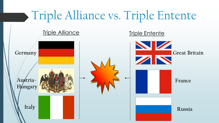# Triple Alliance vs. Triple Entente

## Triple Alliance Triple Entente



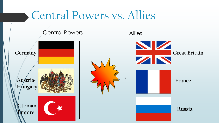# Central Powers vs. Allies Central Powers Allies **Germany Austria-H**ungary **Ottoman Empire Great Britain France Russia**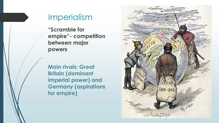## Imperialism

**"Scramble for empire"- competition between major powers**

**Main rivals: Great Britain (dominant imperial power) and Germany (aspirations for empire)** 

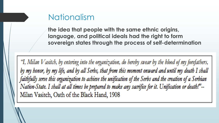## Nationalism

**the idea that people with the same ethnic origins, language, and political ideals had the right to form sovereign states through the process of self-determination**

"I, Milan V asitch, by entering into the organization, do hereby swear by the blood of my forefathers, by my honor, by my life, and by all Serbs, that from this moment onward and until my death I shall faithfully serve this organization to achieve the unification of the Serbs and the creation of a Serbian Nation-State. I shall at all times be prepared to make any sacrifice for it. Unification or death!"--Milan Vasitch, Oath of the Black Hand, 1908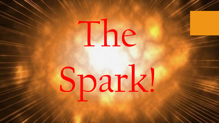

# Spark!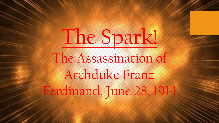The Spark! The Assassination of Archduke Franz Ferdinand, June 28, 1914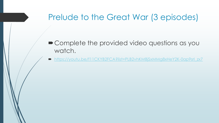## Prelude to the Great War (3 episodes)

- Complete the provided video questions as you watch.
- https://youtu.be/f11CKYB2FCA?list=PLB2vhKMBjSxMMg8xHeY2K-0ap9srl\_zx7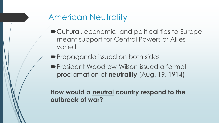## American Neutrality

- Cultural, economic, and political ties to Europe meant support for Central Powers or Allies varied
- **Propaganda issued on both sides**
- President Woodrow Wilson issued a formal proclamation of **neutrality** (Aug. 19, 1914)

**How would a neutral country respond to the outbreak of war?**